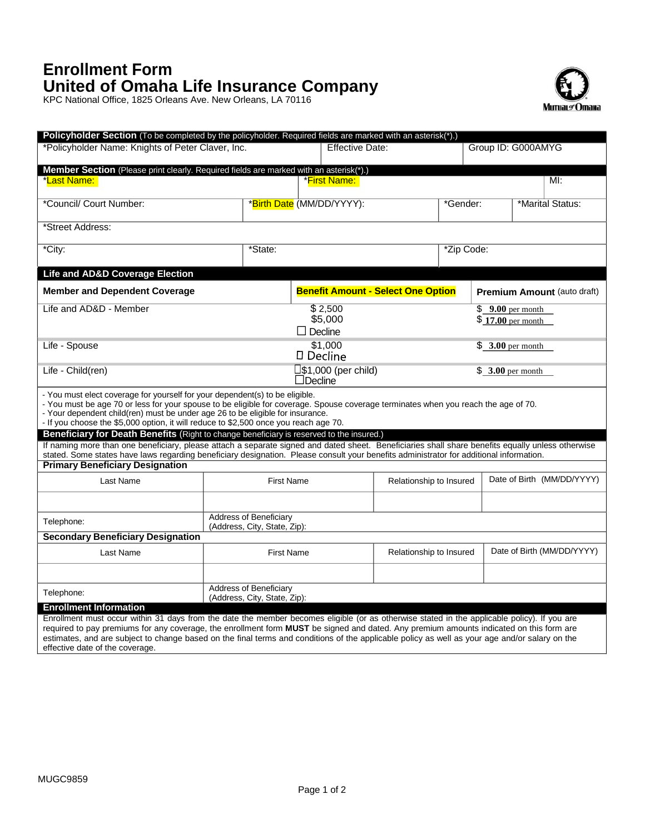## **Enrollment Form United of Omaha Life Insurance Company**

KPC National Office, 1825 Orleans Ave. New Orleans, LA 70116



| Policyholder Section (To be completed by the policyholder. Required fields are marked with an asterisk(*).)                                                                                                                                                                                                                                                                                                                               |                                                               |                                           |                               |                   |                                    |                            |                   |  |
|-------------------------------------------------------------------------------------------------------------------------------------------------------------------------------------------------------------------------------------------------------------------------------------------------------------------------------------------------------------------------------------------------------------------------------------------|---------------------------------------------------------------|-------------------------------------------|-------------------------------|-------------------|------------------------------------|----------------------------|-------------------|--|
| *Policyholder Name: Knights of Peter Claver, Inc.                                                                                                                                                                                                                                                                                                                                                                                         |                                                               | <b>Effective Date:</b>                    |                               |                   | Group ID: G000AMYG                 |                            |                   |  |
| <b>Member Section</b> (Please print clearly. Required fields are marked with an asterisk(*).)                                                                                                                                                                                                                                                                                                                                             |                                                               |                                           |                               |                   |                                    |                            |                   |  |
| *Last Name:                                                                                                                                                                                                                                                                                                                                                                                                                               |                                                               | <b>*First Name:</b>                       |                               |                   |                                    |                            | $M!$ :            |  |
|                                                                                                                                                                                                                                                                                                                                                                                                                                           |                                                               |                                           |                               |                   |                                    |                            |                   |  |
| *Council/ Court Number:                                                                                                                                                                                                                                                                                                                                                                                                                   |                                                               | *Birth Date (MM/DD/YYYY):                 |                               | *Gender:          |                                    | *Marital Status:           |                   |  |
| *Street Address:                                                                                                                                                                                                                                                                                                                                                                                                                          |                                                               |                                           |                               |                   |                                    |                            |                   |  |
| *City:                                                                                                                                                                                                                                                                                                                                                                                                                                    | *State:                                                       |                                           | *Zip Code:                    |                   |                                    |                            |                   |  |
| <b>Life and AD&amp;D Coverage Election</b>                                                                                                                                                                                                                                                                                                                                                                                                |                                                               |                                           |                               |                   |                                    |                            |                   |  |
| <b>Member and Dependent Coverage</b>                                                                                                                                                                                                                                                                                                                                                                                                      |                                                               | <b>Benefit Amount - Select One Option</b> |                               |                   | <b>Premium Amount (auto draft)</b> |                            |                   |  |
| Life and AD&D - Member                                                                                                                                                                                                                                                                                                                                                                                                                    | \$2,500                                                       |                                           |                               | $$9.00$ per month |                                    |                            |                   |  |
| \$5,000<br>$$17.00$ per month                                                                                                                                                                                                                                                                                                                                                                                                             |                                                               |                                           |                               |                   |                                    |                            |                   |  |
|                                                                                                                                                                                                                                                                                                                                                                                                                                           |                                                               | $\Box$ Decline                            |                               |                   |                                    |                            |                   |  |
| Life - Spouse                                                                                                                                                                                                                                                                                                                                                                                                                             | \$1,000<br>$$3.00$ per month<br>□ Decline                     |                                           |                               |                   |                                    |                            |                   |  |
| Life - Child(ren)                                                                                                                                                                                                                                                                                                                                                                                                                         |                                                               | $\Box$ Decline                            | $\square$ \$1,000 (per child) |                   |                                    |                            | $$3.00$ per month |  |
| - You must elect coverage for yourself for your dependent(s) to be eligible.<br>- You must be age 70 or less for your spouse to be eligible for coverage. Spouse coverage terminates when you reach the age of 70.<br>- Your dependent child(ren) must be under age 26 to be eligible for insurance.<br>- If you choose the \$5,000 option, it will reduce to \$2,500 once you reach age 70.                                              |                                                               |                                           |                               |                   |                                    |                            |                   |  |
| Beneficiary for Death Benefits (Right to change beneficiary is reserved to the insured.)                                                                                                                                                                                                                                                                                                                                                  |                                                               |                                           |                               |                   |                                    |                            |                   |  |
| If naming more than one beneficiary, please attach a separate signed and dated sheet. Beneficiaries shall share benefits equally unless otherwise<br>stated. Some states have laws regarding beneficiary designation. Please consult your benefits administrator for additional information.                                                                                                                                              |                                                               |                                           |                               |                   |                                    |                            |                   |  |
| <b>Primary Beneficiary Designation</b>                                                                                                                                                                                                                                                                                                                                                                                                    |                                                               |                                           |                               |                   |                                    |                            |                   |  |
| Last Name                                                                                                                                                                                                                                                                                                                                                                                                                                 | <b>First Name</b>                                             | Relationship to Insured                   |                               |                   |                                    | Date of Birth (MM/DD/YYYY) |                   |  |
|                                                                                                                                                                                                                                                                                                                                                                                                                                           |                                                               |                                           |                               |                   |                                    |                            |                   |  |
| Telephone:                                                                                                                                                                                                                                                                                                                                                                                                                                | <b>Address of Beneficiary</b><br>(Address, City, State, Zip): |                                           |                               |                   |                                    |                            |                   |  |
| <b>Secondary Beneficiary Designation</b>                                                                                                                                                                                                                                                                                                                                                                                                  |                                                               |                                           |                               |                   |                                    |                            |                   |  |
| Last Name                                                                                                                                                                                                                                                                                                                                                                                                                                 | <b>First Name</b>                                             |                                           | Relationship to Insured       |                   | Date of Birth (MM/DD/YYYY)         |                            |                   |  |
|                                                                                                                                                                                                                                                                                                                                                                                                                                           |                                                               |                                           |                               |                   |                                    |                            |                   |  |
| Telephone:                                                                                                                                                                                                                                                                                                                                                                                                                                | <b>Address of Beneficiary</b><br>(Address, City, State, Zip): |                                           |                               |                   |                                    |                            |                   |  |
| <b>Enrollment Information</b>                                                                                                                                                                                                                                                                                                                                                                                                             |                                                               |                                           |                               |                   |                                    |                            |                   |  |
| Enrollment must occur within 31 days from the date the member becomes eligible (or as otherwise stated in the applicable policy). If you are<br>required to pay premiums for any coverage, the enrollment form MUST be signed and dated. Any premium amounts indicated on this form are<br>estimates, and are subject to change based on the final terms and conditions of the applicable policy as well as your age and/or salary on the |                                                               |                                           |                               |                   |                                    |                            |                   |  |

effective date of the coverage.